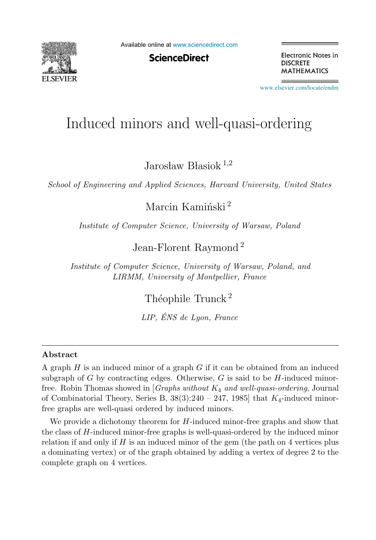

Available online at [www.sciencedirect.com](http://www.sciencedirect.com)

**ScienceDirect** 

Electronic Notes in **DISCRETE MATHEMATICS** 

[www.elsevier.com/locate/endm](http://www.elsevier.com/locate/endm)

# Induced minors and well-quasi-ordering

Jarosław Błasiok<sup>1,2</sup>

*School of Engineering and Applied Sciences, Harvard University, United States*

Marcin Kamiński<sup>2</sup>

*Institute of Computer Science, University of Warsaw, Poland*

Jean-Florent Raymond <sup>2</sup>

*Institute of Computer Science, University of Warsaw, Poland, and LIRMM, University of Montpellier, France*

Théophile Trunck<sup>2</sup>

*LIP, ENS de Lyon, France ´*

### **Abstract**

A graph  $H$  is an induced minor of a graph  $G$  if it can be obtained from an induced subgraph of G by contracting edges. Otherwise, G is said to be  $H$ -induced minorfree. Robin Thomas showed in [*Graphs without* K<sup>4</sup> *and well-quasi-ordering*, Journal of Combinatorial Theory, Series B,  $38(3):240 - 247$ , 1985 that  $K_4$ -induced minorfree graphs are well-quasi ordered by induced minors.

We provide a dichotomy theorem for  $H$ -induced minor-free graphs and show that the class of H-induced minor-free graphs is well-quasi-ordered by the induced minor relation if and only if  $H$  is an induced minor of the gem (the path on 4 vertices plus a dominating vertex) or of the graph obtained by adding a vertex of degree 2 to the complete graph on 4 vertices.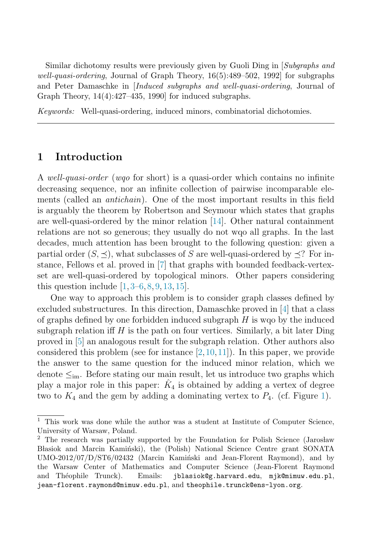Similar dichotomy results were previously given by Guoli Ding in [*Subgraphs and well-quasi-ordering*, Journal of Graph Theory, 16(5):489–502, 1992] for subgraphs and Peter Damaschke in [*Induced subgraphs and well-quasi-ordering*, Journal of Graph Theory, 14(4):427–435, 1990] for induced subgraphs.

*Keywords:* Well-quasi-ordering, induced minors, combinatorial dichotomies.

### **1 Introduction**

A well-quasi-order (wqo for short) is a quasi-order which contains no infinite decreasing sequence, nor an infinite collection of pairwise incomparable elements (called an *antichain*). One of the most important results in this field is arguably the theorem by Robertson and Seymour which states that graphs are well-quasi-ordered by the minor relation [\[14\]](#page-4-0). Other natural containment relations are not so generous; they usually do not wqo all graphs. In the last decades, much attention has been brought to the following question: given a partial order  $(S, \preceq)$ , what subclasses of S are well-quasi-ordered by  $\preceq$ ? For instance, Fellows et al. proved in [\[7\]](#page-4-0) that graphs with bounded feedback-vertexset are well-quasi-ordered by topological minors. Other papers considering this question include  $[1, 3-6, 8, 9, 13, 15]$  $[1, 3-6, 8, 9, 13, 15]$  $[1, 3-6, 8, 9, 13, 15]$  $[1, 3-6, 8, 9, 13, 15]$  $[1, 3-6, 8, 9, 13, 15]$  $[1, 3-6, 8, 9, 13, 15]$  $[1, 3-6, 8, 9, 13, 15]$  $[1, 3-6, 8, 9, 13, 15]$  $[1, 3-6, 8, 9, 13, 15]$ .

One way to approach this problem is to consider graph classes defined by excluded substructures. In this direction, Damaschke proved in [\[4\]](#page-4-0) that a class of graphs defined by one forbidden induced subgraph  $H$  is wq by the induced subgraph relation iff  $H$  is the path on four vertices. Similarly, a bit later Ding proved in [\[5\]](#page-4-0) an analogous result for the subgraph relation. Other authors also considered this problem (see for instance  $[2,10,11]$ ). In this paper, we provide the answer to the same question for the induced minor relation, which we denote  $\leq_{\text{im}}$ . Before stating our main result, let us introduce two graphs which play a major role in this paper:  $K_4$  is obtained by adding a vertex of degree two to  $K_4$  and the gem by adding a dominating vertex to  $P_4$ . (cf. Figure [1\)](#page-2-0).

 $^{\rm 1}$  This work was done while the author was a student at Institute of Computer Science, University of Warsaw, Poland.

<sup>&</sup>lt;sup>2</sup> The research was partially supported by the Foundation for Polish Science (Jarosław Blasiok and Marcin Kamiński), the (Polish) National Science Centre grant SONATA  $UMO-2012/07/D/ST6/02432$  (Marcin Kamin'ski and Jean-Florent Raymond), and by the Warsaw Center of Mathematics and Computer Science (Jean-Florent Raymond and Théophile Trunck). Emails: jblasiok@g.harvard.edu, mjk@mimuw.edu.pl, jean-florent.raymond@mimuw.edu.pl, and theophile.trunck@ens-lyon.org.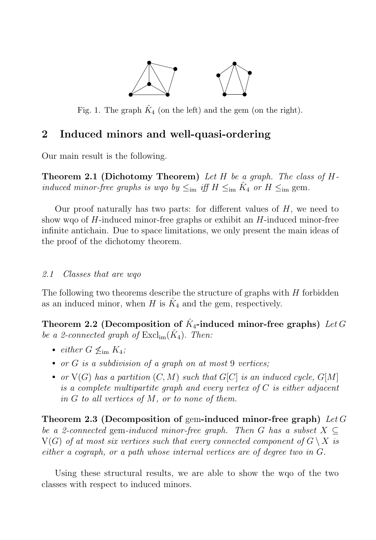

<span id="page-2-0"></span>Fig. 1. The graph  $\hat{K}_4$  (on the left) and the gem (on the right).

# **2 Induced minors and well-quasi-ordering**

Our main result is the following.

**Theorem 2.1 (Dichotomy Theorem)** Let H be a graph. The class of Hinduced minor-free graphs is wqo by  $\leq_{\text{im}}$  iff  $H \leq_{\text{im}} K_4$  or  $H \leq_{\text{im}}$  gem.

Our proof naturally has two parts: for different values of  $H$ , we need to show wqo of  $H$ -induced minor-free graphs or exhibit an  $H$ -induced minor-free infinite antichain. Due to space limitations, we only present the main ideas of the proof of the dichotomy theorem.

### 2.1 Classes that are wqo

The following two theorems describe the structure of graphs with  $H$  forbidden as an induced minor, when H is  $K_4$  and the gem, respectively.

**Theorem 2.2 (Decomposition of**  $K_4$ **-induced minor-free graphs)** Let G be a 2-connected graph of  $\operatorname{Excl}_{im}(\hat{K}_4)$ . Then:

- either  $G \nless_{\text{im}} K_4$ ;
- or  $G$  is a subdivision of a graph on at most  $9$  vertices;
- or  $V(G)$  has a partition  $(C, M)$  such that  $G[C]$  is an induced cycle,  $G[M]$ is a complete multipartite graph and every vertex of  $C$  is either adjacent in  $G$  to all vertices of  $M$ , or to none of them.

**Theorem 2.3 (Decomposition of** gem**-induced minor-free graph)** Let G be a 2-connected gem-induced minor-free graph. Then G has a subset  $X \subseteq$  $V(G)$  of at most six vertices such that every connected component of  $G \setminus X$  is either a cograph, or a path whose internal vertices are of degree two in G.

Using these structural results, we are able to show the wqo of the two classes with respect to induced minors.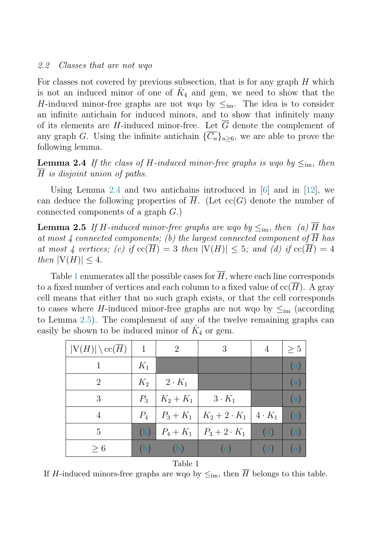#### 2.2 Classes that are not wqo

For classes not covered by previous subsection, that is for any graph  $H$  which is not an induced minor of one of  $K_4$  and gem, we need to show that the H-induced minor-free graphs are not wqo by  $\leq_{\text{im}}$ . The idea is to consider an infinite antichain for induced minors, and to show that infinitely many of its elements are H-induced minor-free. Let  $\overline{G}$  denote the complement of any graph G. Using the infinite antichain  $\{\overline{C_n}\}_n\geq 6$ , we are able to prove the following lemma.

**Lemma 2.4** If the class of H-induced minor-free graphs is wgo by  $\leq_{\text{im}}$ , then H is disjoint union of paths.

Using Lemma 2.4 and two antichains introduced in [\[6\]](#page-4-0) and in [\[12\]](#page-4-0), we can deduce the following properties of  $\overline{H}$ . (Let cc(G) denote the number of connected components of a graph G.)

**Lemma 2.5** If H-induced minor-free graphs are wgo by  $\leq_{\text{im}}$ , then (a)  $\overline{H}$  has at most 4 connected components; (b) the largest connected component of  $\overline{H}$  has at most 4 vertices; (c) if  $cc(\overline{H})=3$  then  $|V(H)| \leq 5$ ; and (d) if  $cc(\overline{H})=4$ then  $|V(H)| \leq 4$ .

Table 1 enumerates all the possible cases for  $\overline{H}$ , where each line corresponds to a fixed number of vertices and each column to a fixed value of  $\operatorname{cc}(H)$ . A gray cell means that either that no such graph exists, or that the cell corresponds to cases where H-induced minor-free graphs are not wqo by  $\leq_{\text{im}}$  (according to Lemma 2.5). The complement of any of the twelve remaining graphs can easily be shown to be induced minor of  $K_4$  or gem.

| $ V(H)  \setminus \operatorname{cc}(\overline{H})$ | 1     | $\overline{2}$ | 3                                    | 4   | $\geq 5$          |
|----------------------------------------------------|-------|----------------|--------------------------------------|-----|-------------------|
|                                                    | $K_1$ |                |                                      |     | (a)               |
| 2                                                  | $K_2$ | $2 \cdot K_1$  |                                      |     | (a)               |
| 3                                                  | $P_3$ | $K_2 + K_1$    | $3 \cdot K_1$                        |     | (a)               |
| 4                                                  | $P_4$ | $P_3 + K_1$    | $K_2 + 2 \cdot K_1 \mid 4 \cdot K_1$ |     | (a)               |
| 5                                                  | (b)   |                | $P_4 + K_1 \mid P_3 + 2 \cdot K_1$   | (d) | $\left( a\right)$ |
| $\geq 6$                                           | (b)   | (b)            | $\left( \mathrm{c} \right)$          | d)  | $\left( a\right)$ |

Table 1

If H-induced minors-free graphs are wqo by  $\leq_{\text{im}}$ , then  $\overline{H}$  belongs to this table.